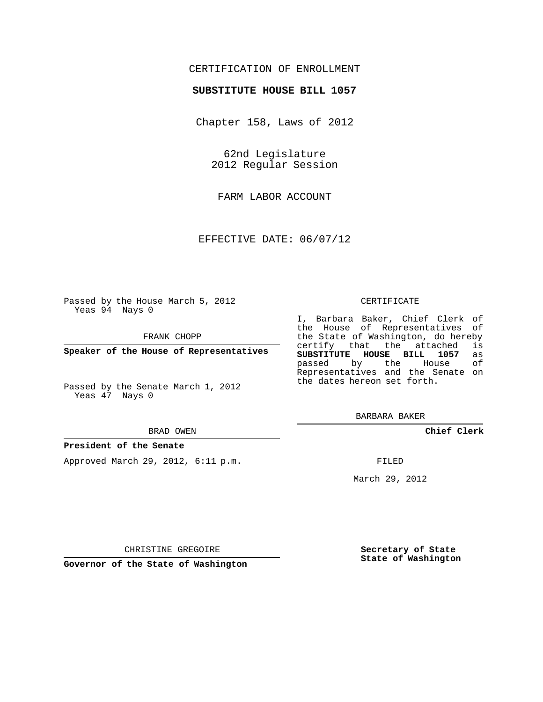## CERTIFICATION OF ENROLLMENT

### **SUBSTITUTE HOUSE BILL 1057**

Chapter 158, Laws of 2012

62nd Legislature 2012 Regular Session

FARM LABOR ACCOUNT

EFFECTIVE DATE: 06/07/12

Passed by the House March 5, 2012 Yeas 94 Nays 0

FRANK CHOPP

**Speaker of the House of Representatives**

Passed by the Senate March 1, 2012 Yeas 47 Nays 0

#### BRAD OWEN

#### **President of the Senate**

Approved March 29, 2012, 6:11 p.m.

#### CERTIFICATE

I, Barbara Baker, Chief Clerk of the House of Representatives of the State of Washington, do hereby<br>certify that the attached is certify that the attached **SUBSTITUTE HOUSE BILL 1057** as passed by the Representatives and the Senate on the dates hereon set forth.

BARBARA BAKER

**Chief Clerk**

FILED

March 29, 2012

**Secretary of State State of Washington**

CHRISTINE GREGOIRE

**Governor of the State of Washington**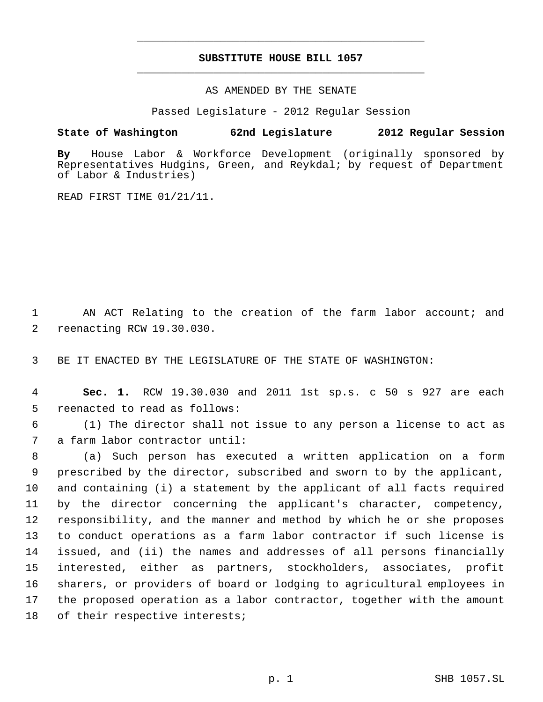# **SUBSTITUTE HOUSE BILL 1057** \_\_\_\_\_\_\_\_\_\_\_\_\_\_\_\_\_\_\_\_\_\_\_\_\_\_\_\_\_\_\_\_\_\_\_\_\_\_\_\_\_\_\_\_\_

\_\_\_\_\_\_\_\_\_\_\_\_\_\_\_\_\_\_\_\_\_\_\_\_\_\_\_\_\_\_\_\_\_\_\_\_\_\_\_\_\_\_\_\_\_

AS AMENDED BY THE SENATE

Passed Legislature - 2012 Regular Session

## **State of Washington 62nd Legislature 2012 Regular Session**

**By** House Labor & Workforce Development (originally sponsored by Representatives Hudgins, Green, and Reykdal; by request of Department of Labor & Industries)

READ FIRST TIME 01/21/11.

1 AN ACT Relating to the creation of the farm labor account; and 2 reenacting RCW 19.30.030.

3 BE IT ENACTED BY THE LEGISLATURE OF THE STATE OF WASHINGTON:

 4 **Sec. 1.** RCW 19.30.030 and 2011 1st sp.s. c 50 s 927 are each 5 reenacted to read as follows:

 6 (1) The director shall not issue to any person a license to act as 7 a farm labor contractor until:

 (a) Such person has executed a written application on a form prescribed by the director, subscribed and sworn to by the applicant, and containing (i) a statement by the applicant of all facts required by the director concerning the applicant's character, competency, responsibility, and the manner and method by which he or she proposes to conduct operations as a farm labor contractor if such license is issued, and (ii) the names and addresses of all persons financially interested, either as partners, stockholders, associates, profit sharers, or providers of board or lodging to agricultural employees in the proposed operation as a labor contractor, together with the amount 18 of their respective interests;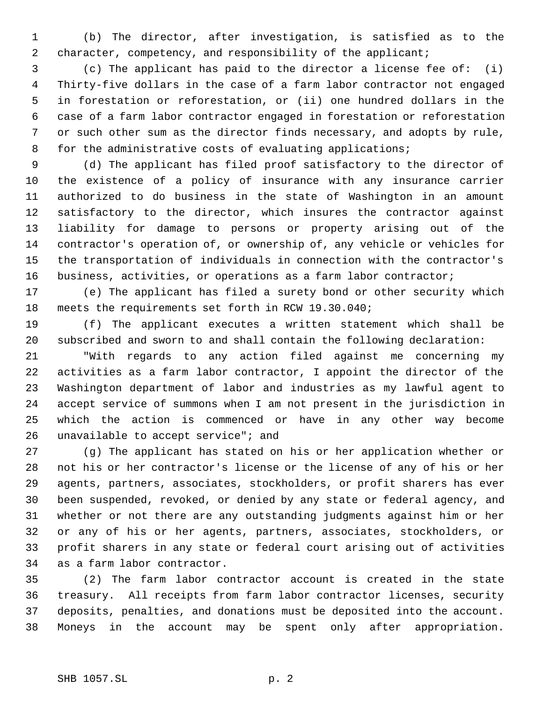(b) The director, after investigation, is satisfied as to the 2 character, competency, and responsibility of the applicant;

 (c) The applicant has paid to the director a license fee of: (i) Thirty-five dollars in the case of a farm labor contractor not engaged in forestation or reforestation, or (ii) one hundred dollars in the case of a farm labor contractor engaged in forestation or reforestation or such other sum as the director finds necessary, and adopts by rule, 8 for the administrative costs of evaluating applications;

 (d) The applicant has filed proof satisfactory to the director of the existence of a policy of insurance with any insurance carrier authorized to do business in the state of Washington in an amount satisfactory to the director, which insures the contractor against liability for damage to persons or property arising out of the contractor's operation of, or ownership of, any vehicle or vehicles for the transportation of individuals in connection with the contractor's business, activities, or operations as a farm labor contractor;

 (e) The applicant has filed a surety bond or other security which meets the requirements set forth in RCW 19.30.040;

 (f) The applicant executes a written statement which shall be subscribed and sworn to and shall contain the following declaration:

 "With regards to any action filed against me concerning my activities as a farm labor contractor, I appoint the director of the Washington department of labor and industries as my lawful agent to accept service of summons when I am not present in the jurisdiction in which the action is commenced or have in any other way become 26 unavailable to accept service"; and

 (g) The applicant has stated on his or her application whether or not his or her contractor's license or the license of any of his or her agents, partners, associates, stockholders, or profit sharers has ever been suspended, revoked, or denied by any state or federal agency, and whether or not there are any outstanding judgments against him or her or any of his or her agents, partners, associates, stockholders, or profit sharers in any state or federal court arising out of activities as a farm labor contractor.

 (2) The farm labor contractor account is created in the state treasury. All receipts from farm labor contractor licenses, security deposits, penalties, and donations must be deposited into the account. Moneys in the account may be spent only after appropriation.